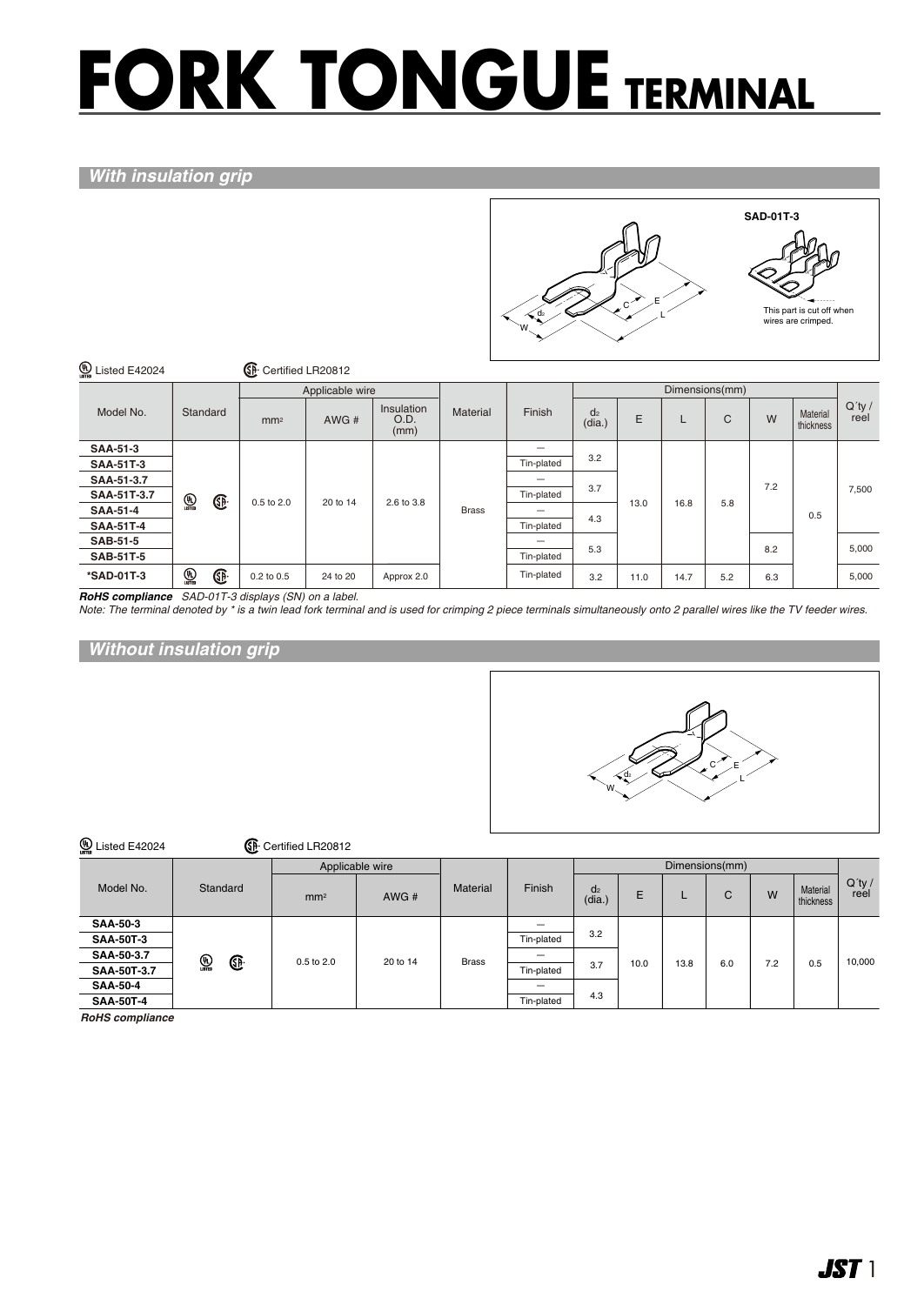# **FORK TONGUE TERMINAL**

#### *With insulation grip*



| <b>42024</b><br><b>E42024</b> |                                 | GF.             | Certified LR20812 |                            |              |            |                          |                |      |     |     |                       |                   |
|-------------------------------|---------------------------------|-----------------|-------------------|----------------------------|--------------|------------|--------------------------|----------------|------|-----|-----|-----------------------|-------------------|
|                               |                                 |                 | Applicable wire   |                            |              |            |                          | Dimensions(mm) |      |     |     |                       |                   |
| Model No.                     | Standard                        | mm <sup>2</sup> | AWG#              | Insulation<br>O.D.<br>(mm) | Material     | Finish     | d <sub>2</sub><br>(dia.) | E              | L    | C   | W   | Material<br>thickness | $Q'$ ty /<br>reel |
| <b>SAA-51-3</b>               |                                 |                 |                   | 2.6 to 3.8                 | <b>Brass</b> |            | 3.2                      |                |      |     |     | 0.5                   | 7,500             |
| <b>SAA-51T-3</b>              |                                 |                 |                   |                            |              | Tin-plated |                          | 13.0           |      |     |     |                       |                   |
| SAA-51-3.7                    |                                 |                 |                   |                            |              |            | 3.7                      |                | 16.8 |     | 7.2 |                       |                   |
| SAA-51T-3.7                   | $\bigoplus_{\text{LSTED}}$<br>Œ | 0.5 to 2.0      | 20 to 14          |                            |              | Tin-plated |                          |                |      | 5.8 |     |                       |                   |
| <b>SAA-51-4</b>               |                                 |                 |                   |                            |              |            | 4.3                      |                |      |     |     |                       |                   |
| <b>SAA-51T-4</b>              |                                 |                 |                   |                            |              | Tin-plated |                          |                |      |     | 8.2 |                       |                   |
| <b>SAB-51-5</b>               |                                 |                 |                   |                            |              |            | 5.3                      |                |      |     |     |                       | 5,000             |
| <b>SAB-51T-5</b>              |                                 |                 |                   |                            |              | Tin-plated |                          |                |      |     |     |                       |                   |
| *SAD-01T-3                    | $\bigcirc$ usted<br>Œ           | 0.2 to 0.5      | 24 to 20          | Approx 2.0                 |              | Tin-plated | 3.2                      | 11.0           | 14.7 | 5.2 | 6.3 |                       | 5,000             |

*RoHS compliance SAD-01T-3 displays (SN) on a label.*

*Note: The terminal denoted by \* is a twin lead fork terminal and is used for crimping 2 piece terminals simultaneously onto 2 parallel wires like the TV feeder wires.*

*Without insulation grip*



| <b>D</b> Listed E42024 |          | <b>B</b> Certified LR20812               |          |              |            |                          |      |      |     |     |                       |                   |
|------------------------|----------|------------------------------------------|----------|--------------|------------|--------------------------|------|------|-----|-----|-----------------------|-------------------|
|                        |          | Applicable wire                          |          |              |            | Dimensions(mm)           |      |      |     |     |                       |                   |
| Model No.              | Standard | mm <sup>2</sup>                          | AWG#     | Material     | Finish     | d <sub>2</sub><br>(dia.) | E    |      | С   | W   | Material<br>thickness | $Q'$ ty /<br>reel |
| <b>SAA-50-3</b>        |          | $\mathbb{Q}$<br>$\bigcirc$<br>0.5 to 2.0 | 20 to 14 | <b>Brass</b> | –          |                          | 10.0 |      |     |     |                       |                   |
| <b>SAA-50T-3</b>       |          |                                          |          |              | Tin-plated | 3.2                      |      |      |     |     |                       |                   |
| SAA-50-3.7             |          |                                          |          |              |            |                          |      |      |     | 7.2 | 0.5                   | 10,000            |
| SAA-50T-3.7            |          |                                          |          |              | Tin-plated | 3.7                      |      | 13.8 | 6.0 |     |                       |                   |
| <b>SAA-50-4</b>        |          |                                          |          |              |            |                          |      |      |     |     |                       |                   |
| <b>SAA-50T-4</b>       |          |                                          |          |              | Tin-plated | 4.3                      |      |      |     |     |                       |                   |

*RoHS compliance*

 $\mathbb{G}$  c  $\mathbb{G}$   $\mathbb{G}$